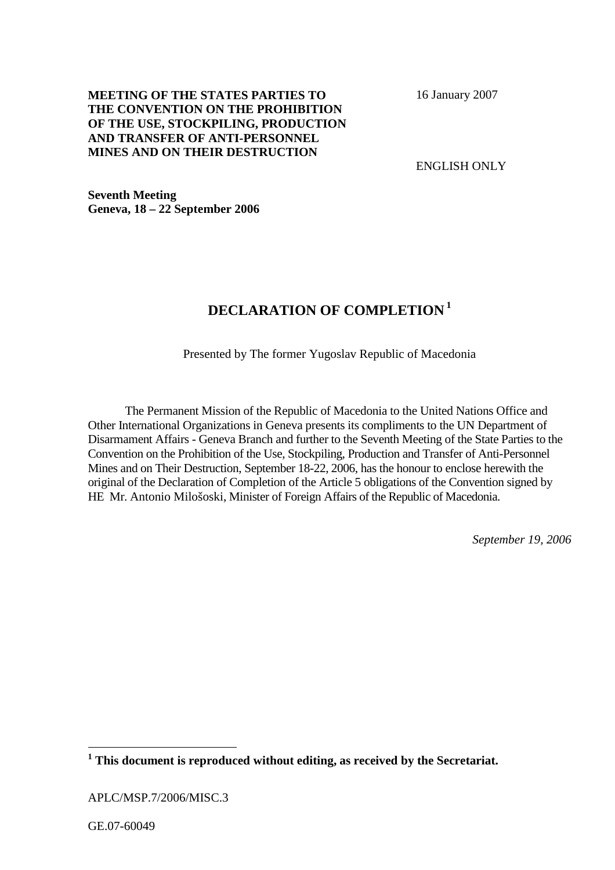## **MEETING OF THE STATES PARTIES TO THE CONVENTION ON THE PROHIBITION OF THE USE, STOCKPILING, PRODUCTION AND TRANSFER OF ANTI-PERSONNEL MINES AND ON THEIR DESTRUCTION**

16 January 2007

ENGLISH ONLY

**Seventh Meeting Geneva, 18 – 22 September 2006** 

## **DECLARATION OF COMPLETION 1**

Presented by The former Yugoslav Republic of Macedonia

The Permanent Mission of the Republic of Macedonia to the United Nations Office and Other International Organizations in Geneva presents its compliments to the UN Department of Disarmament Affairs - Geneva Branch and further to the Seventh Meeting of the State Parties to the Convention on the Prohibition of the Use, Stockpiling, Production and Transfer of Anti-Personnel Mines and on Their Destruction, September 18-22, 2006, has the honour to enclose herewith the original of the Declaration of Completion of the Article 5 obligations of the Convention signed by HE Mr. Antonio Milošoski, Minister of Foreign Affairs of the Republic of Macedonia.

*September 19, 2006* 

 $\overline{a}$ 

**<sup>1</sup> This document is reproduced without editing, as received by the Secretariat.** 

APLC/MSP.7/2006/MISC.3